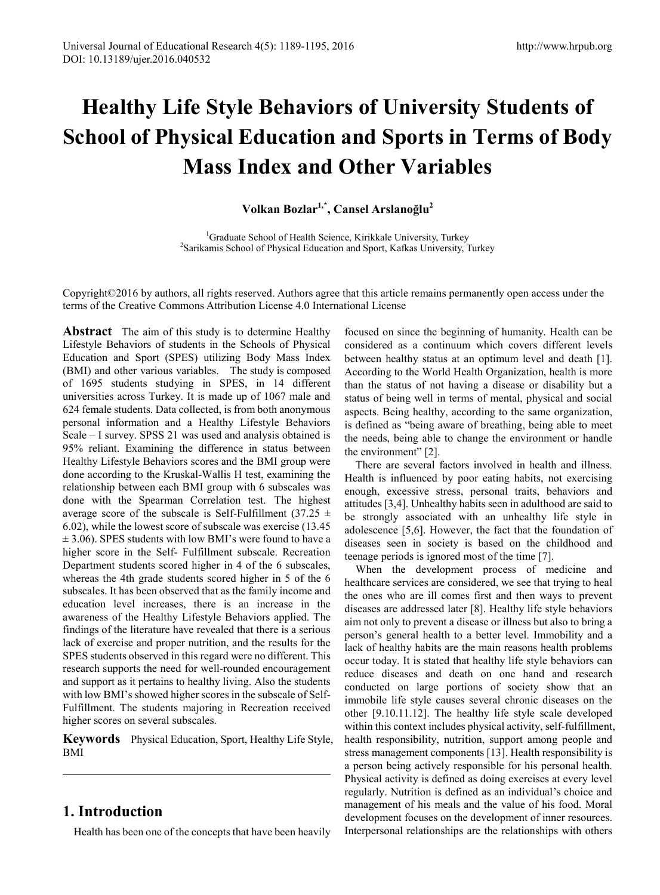# **Healthy Life Style Behaviors of University Students of School of Physical Education and Sports in Terms of Body Mass Index and Other Variables**

# **Volkan Bozlar1,\*, Cansel Arslanoğlu<sup>2</sup>**

<sup>1</sup>Graduate School of Health Science, Kirikkale University, Turkey<br><sup>2</sup>Sarikamis School of Physical Education and Sport, Katkas University <sup>2</sup>Sarikamis School of Physical Education and Sport, Kafkas University, Turkey

Copyright©2016 by authors, all rights reserved. Authors agree that this article remains permanently open access under the terms of the Creative Commons Attribution License 4.0 International License

**Abstract** The aim of this study is to determine Healthy Lifestyle Behaviors of students in the Schools of Physical Education and Sport (SPES) utilizing Body Mass Index (BMI) and other various variables. The study is composed of 1695 students studying in SPES, in 14 different universities across Turkey. It is made up of 1067 male and 624 female students. Data collected, is from both anonymous personal information and a Healthy Lifestyle Behaviors Scale – I survey. SPSS 21 was used and analysis obtained is 95% reliant. Examining the difference in status between Healthy Lifestyle Behaviors scores and the BMI group were done according to the Kruskal-Wallis H test, examining the relationship between each BMI group with 6 subscales was done with the Spearman Correlation test. The highest average score of the subscale is Self-Fulfillment (37.25  $\pm$ 6.02), while the lowest score of subscale was exercise (13.45  $\pm$  3.06). SPES students with low BMI's were found to have a higher score in the Self- Fulfillment subscale. Recreation Department students scored higher in 4 of the 6 subscales, whereas the 4th grade students scored higher in 5 of the 6 subscales. It has been observed that as the family income and education level increases, there is an increase in the awareness of the Healthy Lifestyle Behaviors applied. The findings of the literature have revealed that there is a serious lack of exercise and proper nutrition, and the results for the SPES students observed in this regard were no different. This research supports the need for well-rounded encouragement and support as it pertains to healthy living. Also the students with low BMI's showed higher scores in the subscale of Self-Fulfillment. The students majoring in Recreation received higher scores on several subscales.

**Keywords** Physical Education, Sport, Healthy Life Style, BMI

# **1. Introduction**

Health has been one of the concepts that have been heavily

focused on since the beginning of humanity. Health can be considered as a continuum which covers different levels between healthy status at an optimum level and death [1]. According to the World Health Organization, health is more than the status of not having a disease or disability but a status of being well in terms of mental, physical and social aspects. Being healthy, according to the same organization, is defined as "being aware of breathing, being able to meet the needs, being able to change the environment or handle the environment" [2].

There are several factors involved in health and illness. Health is influenced by poor eating habits, not exercising enough, excessive stress, personal traits, behaviors and attitudes [3,4]. Unhealthy habits seen in adulthood are said to be strongly associated with an unhealthy life style in adolescence [5,6]. However, the fact that the foundation of diseases seen in society is based on the childhood and teenage periods is ignored most of the time [7].

When the development process of medicine and healthcare services are considered, we see that trying to heal the ones who are ill comes first and then ways to prevent diseases are addressed later [8]. Healthy life style behaviors aim not only to prevent a disease or illness but also to bring a person's general health to a better level. Immobility and a lack of healthy habits are the main reasons health problems occur today. It is stated that healthy life style behaviors can reduce diseases and death on one hand and research conducted on large portions of society show that an immobile life style causes several chronic diseases on the other [9.10.11.12]. The healthy life style scale developed within this context includes physical activity, self-fulfillment, health responsibility, nutrition, support among people and stress management components [13]. Health responsibility is a person being actively responsible for his personal health. Physical activity is defined as doing exercises at every level regularly. Nutrition is defined as an individual's choice and management of his meals and the value of his food. Moral development focuses on the development of inner resources. Interpersonal relationships are the relationships with others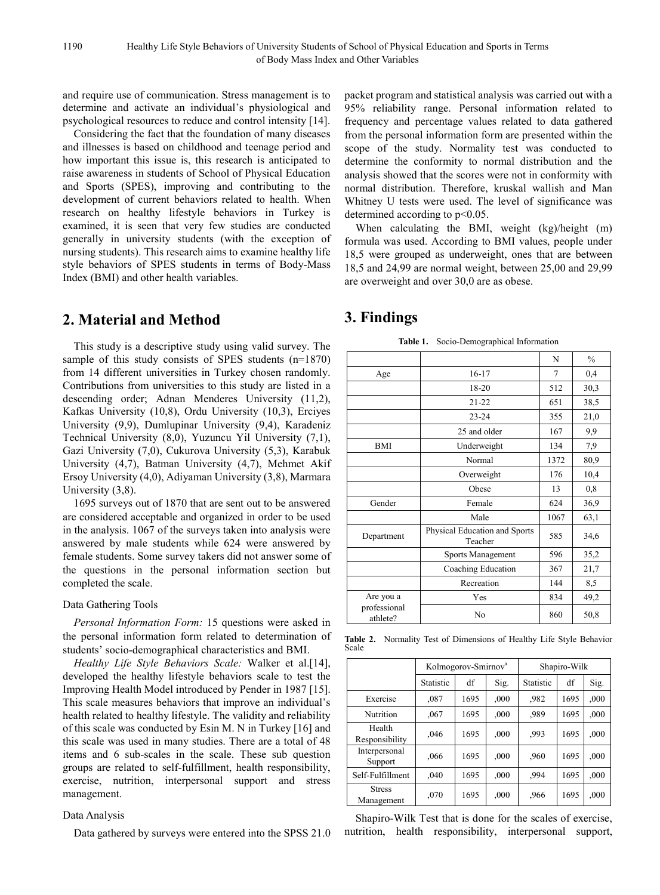and require use of communication. Stress management is to determine and activate an individual's physiological and psychological resources to reduce and control intensity [14].

Considering the fact that the foundation of many diseases and illnesses is based on childhood and teenage period and how important this issue is, this research is anticipated to raise awareness in students of School of Physical Education and Sports (SPES), improving and contributing to the development of current behaviors related to health. When research on healthy lifestyle behaviors in Turkey is examined, it is seen that very few studies are conducted generally in university students (with the exception of nursing students). This research aims to examine healthy life style behaviors of SPES students in terms of Body-Mass Index (BMI) and other health variables.

# **2. Material and Method**

This study is a descriptive study using valid survey. The sample of this study consists of SPES students (n=1870) from 14 different universities in Turkey chosen randomly. Contributions from universities to this study are listed in a descending order; Adnan Menderes University (11,2), Kafkas University (10,8), Ordu University (10,3), Erciyes University (9,9), Dumlupinar University (9,4), Karadeniz Technical University (8,0), Yuzuncu Yil University (7,1), Gazi University (7,0), Cukurova University (5,3), Karabuk University (4,7), Batman University (4,7), Mehmet Akif Ersoy University (4,0), Adiyaman University (3,8), Marmara University (3,8).

1695 surveys out of 1870 that are sent out to be answered are considered acceptable and organized in order to be used in the analysis. 1067 of the surveys taken into analysis were answered by male students while 624 were answered by female students. Some survey takers did not answer some of the questions in the personal information section but completed the scale.

## Data Gathering Tools

*Personal Information Form:* 15 questions were asked in the personal information form related to determination of students' socio-demographical characteristics and BMI.

*Healthy Life Style Behaviors Scale:* Walker et al.[14], developed the healthy lifestyle behaviors scale to test the Improving Health Model introduced by Pender in 1987 [15]. This scale measures behaviors that improve an individual's health related to healthy lifestyle. The validity and reliability of this scale was conducted by Esin M. N in Turkey [16] and this scale was used in many studies. There are a total of 48 items and 6 sub-scales in the scale. These sub question groups are related to self-fulfillment, health responsibility, exercise, nutrition, interpersonal support and stress management.

#### Data Analysis

Data gathered by surveys were entered into the SPSS 21.0

packet program and statistical analysis was carried out with a 95% reliability range. Personal information related to frequency and percentage values related to data gathered from the personal information form are presented within the scope of the study. Normality test was conducted to determine the conformity to normal distribution and the analysis showed that the scores were not in conformity with normal distribution. Therefore, kruskal wallish and Man Whitney U tests were used. The level of significance was determined according to  $p<0.05$ .

When calculating the BMI, weight (kg)/height (m) formula was used. According to BMI values, people under 18,5 were grouped as underweight, ones that are between 18,5 and 24,99 are normal weight, between 25,00 and 29,99 are overweight and over 30,0 are as obese.

# **3. Findings**

|  | <b>Table 1.</b> Socio-Demographical Information |
|--|-------------------------------------------------|
|--|-------------------------------------------------|

|                          |                                          | N    | $\frac{0}{0}$ |
|--------------------------|------------------------------------------|------|---------------|
| Age                      | $16-17$                                  | 7    | 0,4           |
|                          | 18-20                                    | 512  | 30,3          |
|                          | $21 - 22$                                | 651  | 38,5          |
|                          | $23 - 24$                                | 355  | 21,0          |
|                          | 25 and older                             | 167  | 9,9           |
| <b>BMI</b>               | Underweight                              | 134  | 7,9           |
|                          | Normal                                   | 1372 | 80,9          |
|                          | Overweight                               | 176  | 10,4          |
|                          | Obese                                    | 13   | 0,8           |
| Gender                   | Female                                   | 624  | 36,9          |
|                          | Male                                     | 1067 | 63,1          |
| Department               | Physical Education and Sports<br>Teacher |      | 34,6          |
|                          | Sports Management                        | 596  | 35,2          |
|                          | Coaching Education                       | 367  | 21,7          |
|                          | Recreation                               | 144  | 8,5           |
| Are you a                | Yes                                      | 834  | 49,2          |
| professional<br>athlete? | N <sub>0</sub>                           | 860  | 50,8          |

**Table 2.** Normality Test of Dimensions of Healthy Life Style Behavior Scale

|                             | Kolmogorov-Smirnov <sup>a</sup><br>Shapiro-Wilk |      |      |           |      |      |
|-----------------------------|-------------------------------------------------|------|------|-----------|------|------|
|                             | Statistic                                       | df   | Sig. | Statistic | df   | Sig. |
| Exercise                    | ,087                                            | 1695 | ,000 | .982      | 1695 | ,000 |
| Nutrition                   | ,067                                            | 1695 | ,000 | .989      | 1695 | ,000 |
| Health<br>Responsibility    | ,046                                            | 1695 | ,000 | .993      | 1695 | ,000 |
| Interpersonal<br>Support    | ,066                                            | 1695 | ,000 | ,960      | 1695 | ,000 |
| Self-Fulfillment            | ,040                                            | 1695 | ,000 | .994      | 1695 | ,000 |
| <b>Stress</b><br>Management | ,070                                            | 1695 | ,000 | ,966      | 1695 | ,000 |

Shapiro-Wilk Test that is done for the scales of exercise, nutrition, health responsibility, interpersonal support,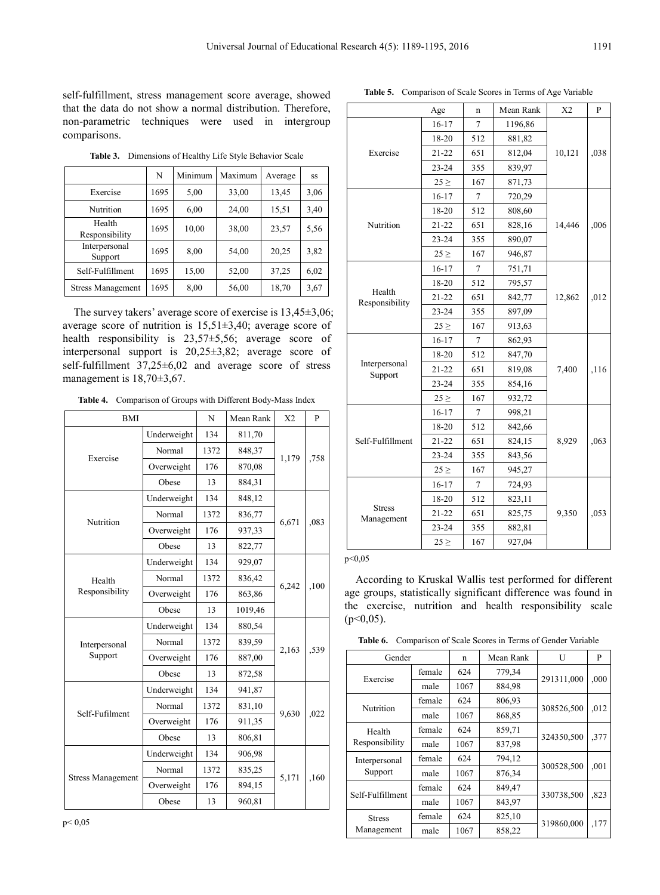self-fulfillment, stress management score average, showed that the data do not show a normal distribution. Therefore, non-parametric techniques were used in intergroup comparisons.

**Table 3.** Dimensions of Healthy Life Style Behavior Scale

|                          | N    | Minimum | Maximum | Average | SS   |
|--------------------------|------|---------|---------|---------|------|
| Exercise                 | 1695 | 5,00    | 33,00   | 13,45   | 3,06 |
| Nutrition                | 1695 | 6,00    | 24,00   | 15,51   | 3,40 |
| Health<br>Responsibility | 1695 | 10,00   | 38,00   | 23,57   | 5,56 |
| Interpersonal<br>Support | 1695 | 8,00    | 54,00   | 20,25   | 3,82 |
| Self-Fulfillment         | 1695 | 15,00   | 52,00   | 37,25   | 6,02 |
| <b>Stress Management</b> | 1695 | 8,00    | 56,00   | 18,70   | 3,67 |

The survey takers' average score of exercise is 13,45±3,06; average score of nutrition is 15,51±3,40; average score of health responsibility is 23,57±5,56; average score of interpersonal support is 20,25±3,82; average score of self-fulfillment 37,25±6,02 and average score of stress management is  $18,70\pm3,67$ .

**Table 4.** Comparison of Groups with Different Body-Mass Index

| <b>BMI</b>               |             | N    | Mean Rank | X <sub>2</sub> | P    |
|--------------------------|-------------|------|-----------|----------------|------|
|                          | Underweight | 134  | 811,70    |                |      |
| Exercise                 | Normal      | 1372 | 848,37    |                | ,758 |
|                          | Overweight  | 176  | 870,08    | 1,179          |      |
|                          | Obese       | 13   | 884,31    |                |      |
|                          | Underweight | 134  | 848,12    |                |      |
| Nutrition                | Normal      | 1372 | 836,77    | 6,671          | ,083 |
|                          | Overweight  | 176  | 937,33    |                |      |
|                          | Obese       | 13   | 822,77    |                |      |
|                          | Underweight | 134  | 929,07    |                |      |
| Health<br>Responsibility | Normal      | 1372 | 836,42    | 6,242          | ,100 |
|                          | Overweight  | 176  | 863,86    |                |      |
|                          | Obese<br>13 |      | 1019,46   |                |      |
|                          | Underweight | 134  | 880,54    |                | ,539 |
| Interpersonal            | Normal      | 1372 | 839,59    | 2,163          |      |
| Support                  | Overweight  | 176  | 887,00    |                |      |
|                          | Obese       | 13   | 872,58    |                |      |
|                          | Underweight | 134  | 941,87    |                |      |
| Self-Fufilment           | Normal      | 1372 | 831,10    | 9,630          | ,022 |
|                          | Overweight  | 176  | 911,35    |                |      |
|                          | Obese       | 13   | 806,81    |                |      |
|                          | Underweight | 134  | 906,98    |                |      |
|                          | Normal      | 1372 | 835,25    | 5,171          | ,160 |
| <b>Stress Management</b> | Overweight  | 176  | 894,15    |                |      |
|                          | Obese       | 13   | 960,81    |                |      |

|                             | Age       | n   | Mean Rank | X <sub>2</sub> | P    |
|-----------------------------|-----------|-----|-----------|----------------|------|
|                             | $16 - 17$ | 7   | 1196,86   |                |      |
|                             | $18 - 20$ | 512 | 881,82    |                |      |
| Exercise                    | $21 - 22$ | 651 | 812,04    | 10,121         | ,038 |
|                             | $23 - 24$ | 355 | 839,97    |                |      |
|                             | $25 \geq$ | 167 | 871,73    |                |      |
|                             | 16-17     | 7   | 720,29    |                |      |
|                             | 18-20     | 512 | 808,60    |                |      |
| Nutrition                   | $21 - 22$ | 651 | 828,16    | 14,446         | ,006 |
|                             | $23 - 24$ | 355 | 890,07    |                |      |
|                             | $25 \geq$ | 167 | 946,87    |                |      |
|                             | 16-17     | 7   | 751,71    |                |      |
|                             | 18-20     | 512 | 795,57    |                | ,012 |
| Health<br>Responsibility    | $21 - 22$ | 651 | 842,77    | 12,862         |      |
|                             | $23 - 24$ | 355 | 897,09    |                |      |
|                             | $25 \geq$ | 167 | 913,63    |                |      |
|                             | $16 - 17$ | 7   | 862,93    |                |      |
|                             | 18-20     | 512 | 847,70    |                | ,116 |
| Interpersonal<br>Support    | $21 - 22$ | 651 | 819,08    | 7,400          |      |
|                             | $23 - 24$ | 355 | 854,16    |                |      |
|                             | $25 \geq$ | 167 | 932,72    |                |      |
|                             | $16 - 17$ | 7   | 998,21    |                |      |
|                             | 18-20     | 512 | 842,66    |                |      |
| Self-Fulfillment            | $21 - 22$ | 651 | 824,15    | 8,929          | ,063 |
|                             | $23 - 24$ | 355 | 843,56    |                |      |
|                             | $25 \geq$ | 167 | 945,27    |                |      |
|                             | 16-17     | 7   | 724,93    |                |      |
|                             | 18-20     | 512 | 823,11    |                |      |
| <b>Stress</b><br>Management | $21 - 22$ | 651 | 825,75    | 9,350          | ,053 |
|                             | $23 - 24$ | 355 | 882,81    |                |      |
|                             | $25 \geq$ | 167 | 927,04    |                |      |

### p<0,05

According to Kruskal Wallis test performed for different age groups, statistically significant difference was found in the exercise, nutrition and health responsibility scale  $(p<0.05)$ .

**Table 6.** Comparison of Scale Scores in Terms of Gender Variable

|  | Gender                   |        | n    | Mean Rank | U          | P    |
|--|--------------------------|--------|------|-----------|------------|------|
|  |                          | female | 624  | 779,34    |            |      |
|  | Exercise                 | male   | 1067 | 884,98    | 291311,000 | ,000 |
|  |                          | female | 624  | 806,93    |            |      |
|  | Nutrition                | male   | 1067 | 868,85    | 308526,500 | .012 |
|  | Health<br>Responsibility | female | 624  | 859,71    | 324350,500 | ,377 |
|  |                          | male   | 1067 | 837,98    |            |      |
|  | Interpersonal            | female | 624  | 794,12    | 300528,500 | ,001 |
|  | Support                  | male   | 1067 | 876,34    |            |      |
|  |                          | female | 624  | 849,47    |            |      |
|  | Self-Fulfillment         | male   | 1067 | 843,97    | 330738,500 | .823 |
|  | <b>Stress</b>            | female | 624  | 825,10    |            |      |
|  | Management               | male   | 1067 | 858,22    | 319860,000 | ,177 |

**Table 5.** Comparison of Scale Scores in Terms of Age Variable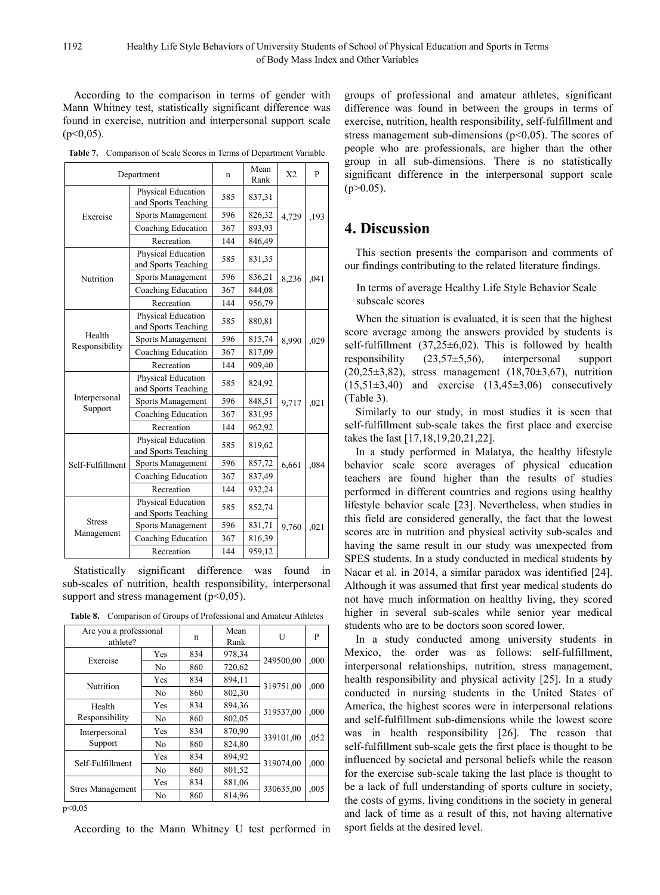According to the comparison in terms of gender with Mann Whitney test, statistically significant difference was found in exercise, nutrition and interpersonal support scale  $(p<0.05)$ .

**Table 7.** Comparison of Scale Scores in Terms of Department Variable

|                  | Department                                | n   | Mean<br>Rank | X2    | P    |
|------------------|-------------------------------------------|-----|--------------|-------|------|
|                  | Physical Education<br>and Sports Teaching | 585 | 837,31       |       |      |
| Exercise         | Sports Management                         | 596 | 826,32       | 4,729 | ,193 |
|                  | Coaching Education                        | 367 | 893,93       |       |      |
|                  | Recreation                                | 144 | 846,49       |       |      |
|                  | Physical Education<br>and Sports Teaching | 585 | 831,35       |       |      |
| Nutrition        | Sports Management                         | 596 | 836,21       | 8,236 | ,041 |
|                  | Coaching Education                        | 367 | 844,08       |       |      |
|                  | Recreation                                | 144 | 956,79       |       |      |
|                  | Physical Education<br>and Sports Teaching | 585 | 880,81       |       |      |
| Health           | Sports Management                         | 596 | 815,74       | 8,990 | ,029 |
| Responsibility   | Coaching Education<br>367                 |     | 817,09       |       |      |
|                  | Recreation                                | 144 | 909,40       |       |      |
|                  | Physical Education<br>and Sports Teaching | 585 | 824,92       |       |      |
| Interpersonal    | Sports Management                         | 596 | 848,51       | 9,717 | ,021 |
| Support          | Coaching Education                        | 367 | 831,95       |       |      |
|                  | Recreation                                | 144 | 962,92       |       |      |
|                  | Physical Education<br>and Sports Teaching | 585 | 819,62       |       |      |
| Self-Fulfillment | Sports Management                         | 596 | 857,72       | 6,661 | ,084 |
|                  | Coaching Education                        | 367 | 837,49       |       |      |
|                  | Recreation                                | 144 | 932,24       |       |      |
|                  | Physical Education<br>and Sports Teaching | 585 | 852,74       |       |      |
| <b>Stress</b>    | Sports Management                         | 596 | 831,71       | 9,760 | ,021 |
| Management       | Coaching Education                        | 367 | 816,39       |       |      |
|                  | Recreation                                |     | 959,12       |       |      |

Statistically significant difference was found in sub-scales of nutrition, health responsibility, interpersonal support and stress management  $(p<0.05)$ .

**Table 8.** Comparison of Groups of Professional and Amateur Athletes

| Are you a professional<br>athlete? |                | n   | Mean<br>Rank | U         | P    |
|------------------------------------|----------------|-----|--------------|-----------|------|
|                                    | Yes            | 834 | 978.34       |           |      |
| Exercise                           | N <sub>0</sub> | 860 | 720,62       | 249500,00 | ,000 |
| Nutrition                          | Yes            | 834 | 894,11       | 319751,00 |      |
|                                    | N <sub>0</sub> | 860 | 802,30       |           | ,000 |
| Health                             | Yes            | 834 | 894,36       |           | ,000 |
| Responsibility                     | N <sub>0</sub> | 860 | 802,05       | 319537,00 |      |
| Interpersonal                      | Yes            | 834 | 870,90       | 339101,00 |      |
| Support                            | N <sub>0</sub> | 860 | 824,80       |           | .052 |
|                                    | Yes            | 834 | 894,92       | 319074,00 | ,000 |
| Self-Fulfillment                   | No             | 860 | 801,52       |           |      |
|                                    | Yes            | 834 | 881,06       |           |      |
| <b>Stres Management</b>            | N <sub>0</sub> | 860 | 814,96       | 330635,00 | .005 |
| $-0.05$                            |                |     |              |           |      |

 $p<0,05$ 

According to the Mann Whitney U test performed in

groups of professional and amateur athletes, significant difference was found in between the groups in terms of exercise, nutrition, health responsibility, self-fulfillment and stress management sub-dimensions ( $p<0.05$ ). The scores of people who are professionals, are higher than the other group in all sub-dimensions. There is no statistically significant difference in the interpersonal support scale  $(p>0.05)$ .

# **4. Discussion**

This section presents the comparison and comments of our findings contributing to the related literature findings.

## In terms of average Healthy Life Style Behavior Scale subscale scores

When the situation is evaluated, it is seen that the highest score average among the answers provided by students is self-fulfillment  $(37,25\pm6,02)$ . This is followed by health responsibility (23,57±5,56), interpersonal support  $(20,25\pm3,82)$ , stress management  $(18,70\pm3,67)$ , nutrition  $(15,51\pm3,40)$  and exercise  $(13,45\pm3,06)$  consecutively (Table 3).

Similarly to our study, in most studies it is seen that self-fulfillment sub-scale takes the first place and exercise takes the last [17,18,19,20,21,22].

In a study performed in Malatya, the healthy lifestyle behavior scale score averages of physical education teachers are found higher than the results of studies performed in different countries and regions using healthy lifestyle behavior scale [23]. Nevertheless, when studies in this field are considered generally, the fact that the lowest scores are in nutrition and physical activity sub-scales and having the same result in our study was unexpected from SPES students. In a study conducted in medical students by Nacar et al. in 2014, a similar paradox was identified [24]. Although it was assumed that first year medical students do not have much information on healthy living, they scored higher in several sub-scales while senior year medical students who are to be doctors soon scored lower.

In a study conducted among university students in Mexico, the order was as follows: self-fulfillment, interpersonal relationships, nutrition, stress management, health responsibility and physical activity [25]. In a study conducted in nursing students in the United States of America, the highest scores were in interpersonal relations and self-fulfillment sub-dimensions while the lowest score was in health responsibility [26]. The reason that self-fulfillment sub-scale gets the first place is thought to be influenced by societal and personal beliefs while the reason for the exercise sub-scale taking the last place is thought to be a lack of full understanding of sports culture in society, the costs of gyms, living conditions in the society in general and lack of time as a result of this, not having alternative sport fields at the desired level.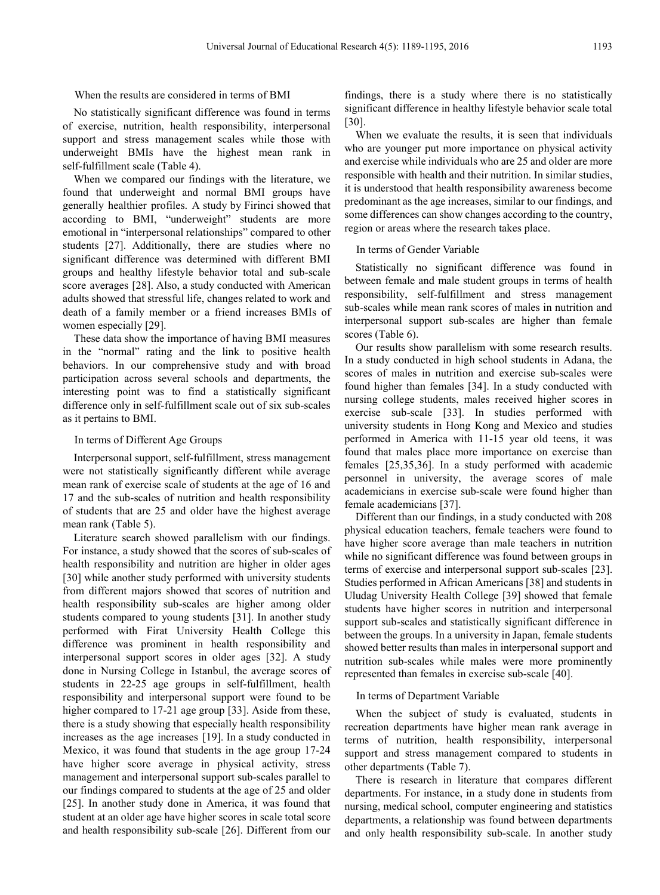## When the results are considered in terms of BMI

No statistically significant difference was found in terms of exercise, nutrition, health responsibility, interpersonal support and stress management scales while those with underweight BMIs have the highest mean rank in self-fulfillment scale (Table 4).

When we compared our findings with the literature, we found that underweight and normal BMI groups have generally healthier profiles. A study by Firinci showed that according to BMI, "underweight" students are more emotional in "interpersonal relationships" compared to other students [27]. Additionally, there are studies where no significant difference was determined with different BMI groups and healthy lifestyle behavior total and sub-scale score averages [28]. Also, a study conducted with American adults showed that stressful life, changes related to work and death of a family member or a friend increases BMIs of women especially [29].

These data show the importance of having BMI measures in the "normal" rating and the link to positive health behaviors. In our comprehensive study and with broad participation across several schools and departments, the interesting point was to find a statistically significant difference only in self-fulfillment scale out of six sub-scales as it pertains to BMI.

## In terms of Different Age Groups

Interpersonal support, self-fulfillment, stress management were not statistically significantly different while average mean rank of exercise scale of students at the age of 16 and 17 and the sub-scales of nutrition and health responsibility of students that are 25 and older have the highest average mean rank (Table 5).

Literature search showed parallelism with our findings. For instance, a study showed that the scores of sub-scales of health responsibility and nutrition are higher in older ages [30] while another study performed with university students from different majors showed that scores of nutrition and health responsibility sub-scales are higher among older students compared to young students [31]. In another study performed with Firat University Health College this difference was prominent in health responsibility and interpersonal support scores in older ages [32]. A study done in Nursing College in Istanbul, the average scores of students in 22-25 age groups in self-fulfillment, health responsibility and interpersonal support were found to be higher compared to 17-21 age group [33]. Aside from these, there is a study showing that especially health responsibility increases as the age increases [19]. In a study conducted in Mexico, it was found that students in the age group 17-24 have higher score average in physical activity, stress management and interpersonal support sub-scales parallel to our findings compared to students at the age of 25 and older [25]. In another study done in America, it was found that student at an older age have higher scores in scale total score and health responsibility sub-scale [26]. Different from our

findings, there is a study where there is no statistically significant difference in healthy lifestyle behavior scale total [30].

When we evaluate the results, it is seen that individuals who are younger put more importance on physical activity and exercise while individuals who are 25 and older are more responsible with health and their nutrition. In similar studies, it is understood that health responsibility awareness become predominant as the age increases, similar to our findings, and some differences can show changes according to the country, region or areas where the research takes place.

## In terms of Gender Variable

Statistically no significant difference was found in between female and male student groups in terms of health responsibility, self-fulfillment and stress management sub-scales while mean rank scores of males in nutrition and interpersonal support sub-scales are higher than female scores (Table 6).

Our results show parallelism with some research results. In a study conducted in high school students in Adana, the scores of males in nutrition and exercise sub-scales were found higher than females [34]. In a study conducted with nursing college students, males received higher scores in exercise sub-scale [33]. In studies performed with university students in Hong Kong and Mexico and studies performed in America with 11-15 year old teens, it was found that males place more importance on exercise than females [25,35,36]. In a study performed with academic personnel in university, the average scores of male academicians in exercise sub-scale were found higher than female academicians [37].

Different than our findings, in a study conducted with 208 physical education teachers, female teachers were found to have higher score average than male teachers in nutrition while no significant difference was found between groups in terms of exercise and interpersonal support sub-scales [23]. Studies performed in African Americans [38] and students in Uludag University Health College [39] showed that female students have higher scores in nutrition and interpersonal support sub-scales and statistically significant difference in between the groups. In a university in Japan, female students showed better results than males in interpersonal support and nutrition sub-scales while males were more prominently represented than females in exercise sub-scale [40].

## In terms of Department Variable

When the subject of study is evaluated, students in recreation departments have higher mean rank average in terms of nutrition, health responsibility, interpersonal support and stress management compared to students in other departments (Table 7).

There is research in literature that compares different departments. For instance, in a study done in students from nursing, medical school, computer engineering and statistics departments, a relationship was found between departments and only health responsibility sub-scale. In another study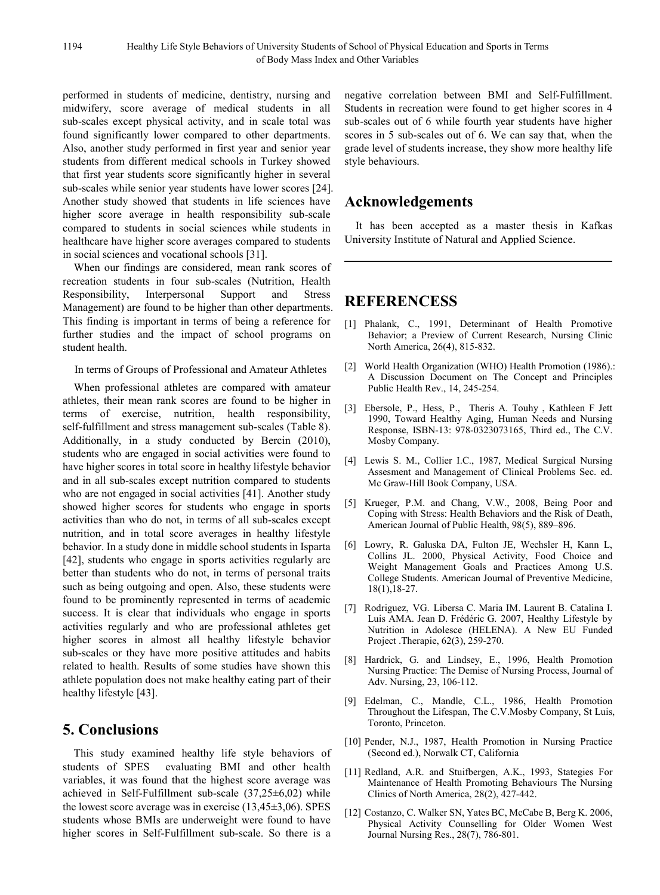performed in students of medicine, dentistry, nursing and midwifery, score average of medical students in all sub-scales except physical activity, and in scale total was found significantly lower compared to other departments. Also, another study performed in first year and senior year students from different medical schools in Turkey showed that first year students score significantly higher in several sub-scales while senior year students have lower scores [24]. Another study showed that students in life sciences have higher score average in health responsibility sub-scale compared to students in social sciences while students in healthcare have higher score averages compared to students in social sciences and vocational schools [31].

When our findings are considered, mean rank scores of recreation students in four sub-scales (Nutrition, Health Responsibility, Interpersonal Support and Stress Management) are found to be higher than other departments. This finding is important in terms of being a reference for further studies and the impact of school programs on student health.

In terms of Groups of Professional and Amateur Athletes

When professional athletes are compared with amateur athletes, their mean rank scores are found to be higher in terms of exercise, nutrition, health responsibility, self-fulfillment and stress management sub-scales (Table 8). Additionally, in a study conducted by Bercin (2010), students who are engaged in social activities were found to have higher scores in total score in healthy lifestyle behavior and in all sub-scales except nutrition compared to students who are not engaged in social activities [41]. Another study showed higher scores for students who engage in sports activities than who do not, in terms of all sub-scales except nutrition, and in total score averages in healthy lifestyle behavior. In a study done in middle school students in Isparta [42], students who engage in sports activities regularly are better than students who do not, in terms of personal traits such as being outgoing and open. Also, these students were found to be prominently represented in terms of academic success. It is clear that individuals who engage in sports activities regularly and who are professional athletes get higher scores in almost all healthy lifestyle behavior sub-scales or they have more positive attitudes and habits related to health. Results of some studies have shown this athlete population does not make healthy eating part of their healthy lifestyle [43].

# **5. Conclusions**

This study examined healthy life style behaviors of students of SPES evaluating BMI and other health variables, it was found that the highest score average was achieved in Self-Fulfillment sub-scale (37,25±6,02) while the lowest score average was in exercise (13,45±3,06). SPES students whose BMIs are underweight were found to have higher scores in Self-Fulfillment sub-scale. So there is a

negative correlation between BMI and Self-Fulfillment. Students in recreation were found to get higher scores in 4 sub-scales out of 6 while fourth year students have higher scores in 5 sub-scales out of 6. We can say that, when the grade level of students increase, they show more healthy life style behaviours.

# **Acknowledgements**

It has been accepted as a master thesis in Kafkas University Institute of Natural and Applied Science.

# **REFERENCESS**

- [1] Phalank, C., 1991, Determinant of Health Promotive Behavior; a Preview of Current Research, Nursing Clinic North America, 26(4), 815-832.
- [2] World Health Organization (WHO) Health Promotion (1986).: A Discussion Document on The Concept and Principles Public Health Rev., 14, 245-254.
- [3] Ebersole, P., Hess, P., Theris A. Touhy , Kathleen F Jett 1990, Toward Healthy Aging, Human Needs and Nursing Response, ISBN-13: 978-0323073165, Third ed., The C.V. Mosby Company.
- [4] Lewis S. M., Collier I.C., 1987, Medical Surgical Nursing Assesment and Management of Clinical Problems Sec. ed. Mc Graw-Hill Book Company, USA.
- [5] Krueger, P.M. and Chang, V.W., 2008, Being Poor and Coping with Stress: Health Behaviors and the Risk of Death, American Journal of Public Health, 98(5), 889–896.
- [6] Lowry, R. Galuska DA, Fulton JE, Wechsler H, Kann L, Collins JL. 2000, Physical Activity, Food Choice and Weight Management Goals and Practices Among U.S. College Students. American Journal of Preventive Medicine, 18(1),18-27.
- [7] Rodriguez, VG. Libersa C. Maria IM. Laurent B. Catalina I. Luis AMA. Jean D. Frédéric G. 2007, Healthy Lifestyle by Nutrition in Adolesce (HELENA). A New EU Funded Project .Therapie, 62(3), 259-270.
- [8] Hardrick, G. and Lindsey, E., 1996, Health Promotion Nursing Practice: The Demise of Nursing Process, Journal of Adv. Nursing, 23, 106-112.
- [9] Edelman, C., Mandle, C.L., 1986, Health Promotion Throughout the Lifespan, The C.V.Mosby Company, St Luis, Toronto, Princeton.
- [10] Pender, N.J., 1987, Health Promotion in Nursing Practice (Second ed.), Norwalk CT, California
- [11] Redland, A.R. and Stuifbergen, A.K., 1993, Stategies For Maintenance of Health Promoting Behaviours The Nursing Clinics of North America, 28(2), 427-442.
- [12] Costanzo, C. Walker SN, Yates BC, McCabe B, Berg K. 2006, Physical Activity Counselling for Older Women West Journal Nursing Res., 28(7), 786-801.